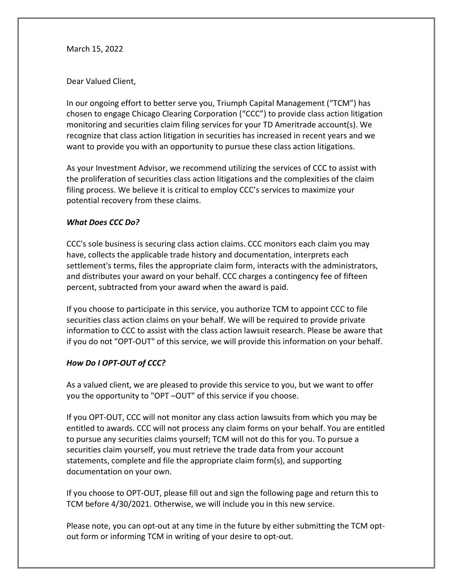March 15, 2022

Dear Valued Client,

In our ongoing effort to better serve you, Triumph Capital Management ("TCM") has chosen to engage Chicago Clearing Corporation ("CCC") to provide class action litigation monitoring and securities claim filing services for your TD Ameritrade account(s). We recognize that class action litigation in securities has increased in recent years and we want to provide you with an opportunity to pursue these class action litigations.

As your Investment Advisor, we recommend utilizing the services of CCC to assist with the proliferation of securities class action litigations and the complexities of the claim filing process. We believe it is critical to employ CCC's services to maximize your potential recovery from these claims.

## *What Does CCC Do?*

CCC's sole business is securing class action claims. CCC monitors each claim you may have, collects the applicable trade history and documentation, interprets each settlement's terms, files the appropriate claim form, interacts with the administrators, and distributes your award on your behalf. CCC charges a contingency fee of fifteen percent, subtracted from your award when the award is paid.

If you choose to participate in this service, you authorize TCM to appoint CCC to file securities class action claims on your behalf. We will be required to provide private information to CCC to assist with the class action lawsuit research. Please be aware that if you do not "OPT-OUT" of this service, we will provide this information on your behalf.

## *How Do I OPT-OUT of CCC?*

As a valued client, we are pleased to provide this service to you, but we want to offer you the opportunity to "OPT –OUT" of this service if you choose.

If you OPT-OUT, CCC will not monitor any class action lawsuits from which you may be entitled to awards. CCC will not process any claim forms on your behalf. You are entitled to pursue any securities claims yourself; TCM will not do this for you. To pursue a securities claim yourself, you must retrieve the trade data from your account statements, complete and file the appropriate claim form(s), and supporting documentation on your own.

If you choose to OPT-OUT, please fill out and sign the following page and return this to TCM before 4/30/2021. Otherwise, we will include you in this new service.

Please note, you can opt-out at any time in the future by either submitting the TCM optout form or informing TCM in writing of your desire to opt-out.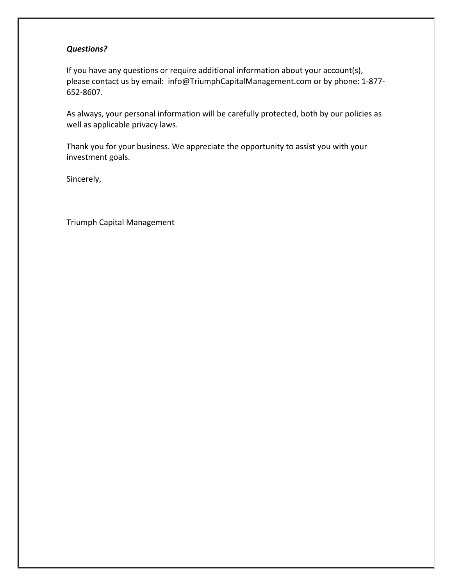## *Questions?*

If you have any questions or require additional information about your account(s), please contact us by email: [info@TriumphCapitalManagement.com](mailto:info@TriumphCapitalManagement.com) or by phone: 1-877- 652-8607.

As always, your personal information will be carefully protected, both by our policies as well as applicable privacy laws.

Thank you for your business. We appreciate the opportunity to assist you with your investment goals.

Sincerely,

Triumph Capital Management